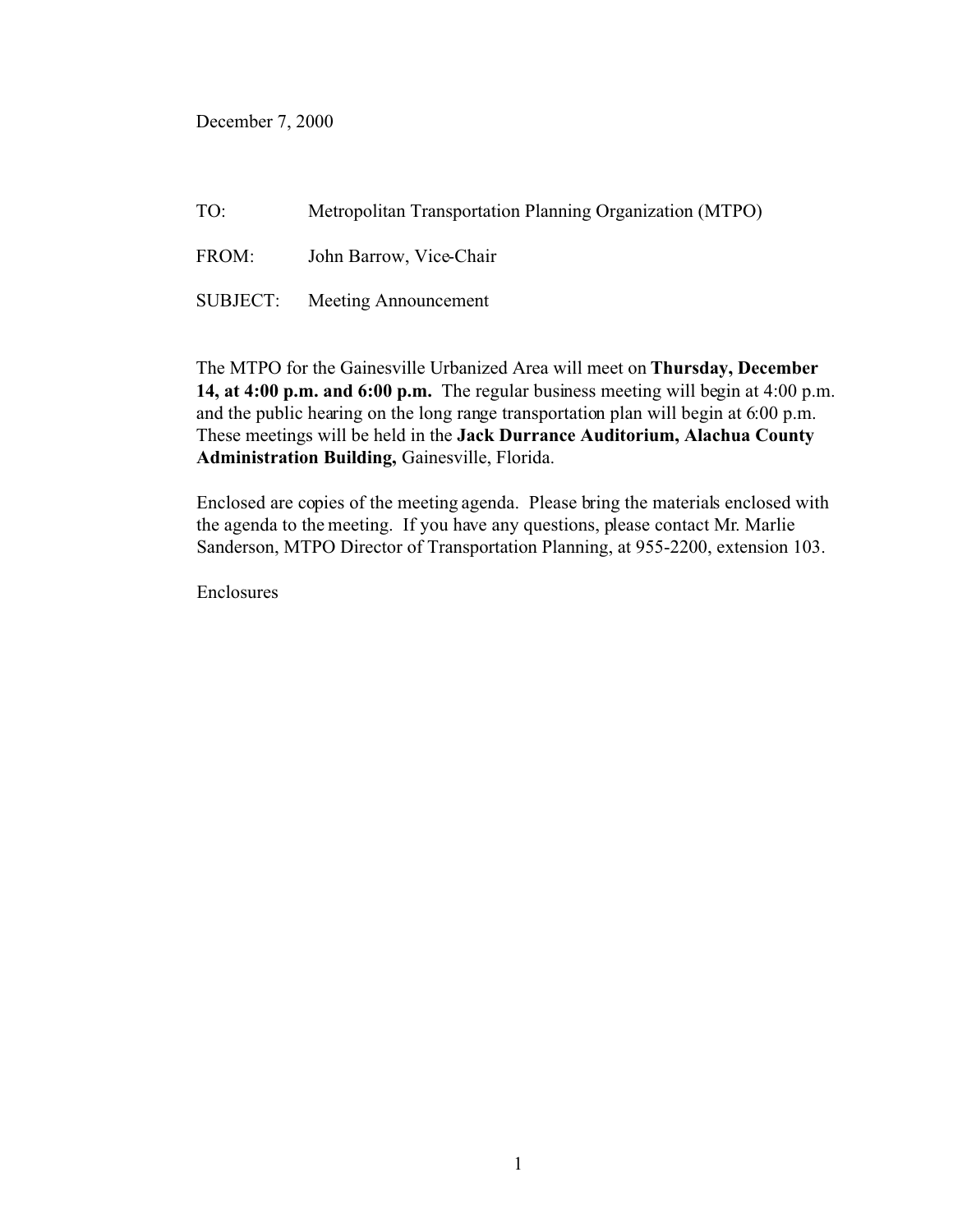December 7, 2000

TO: Metropolitan Transportation Planning Organization (MTPO)

FROM: John Barrow, Vice-Chair

SUBJECT: Meeting Announcement

The MTPO for the Gainesville Urbanized Area will meet on **Thursday, December 14, at 4:00 p.m. and 6:00 p.m.** The regular business meeting will begin at 4:00 p.m. and the public hearing on the long range transportation plan will begin at 6:00 p.m. These meetings will be held in the **Jack Durrance Auditorium, Alachua County Administration Building,** Gainesville, Florida.

Enclosed are copies of the meeting agenda. Please bring the materials enclosed with the agenda to the meeting. If you have any questions, please contact Mr. Marlie Sanderson, MTPO Director of Transportation Planning, at 955-2200, extension 103.

Enclosures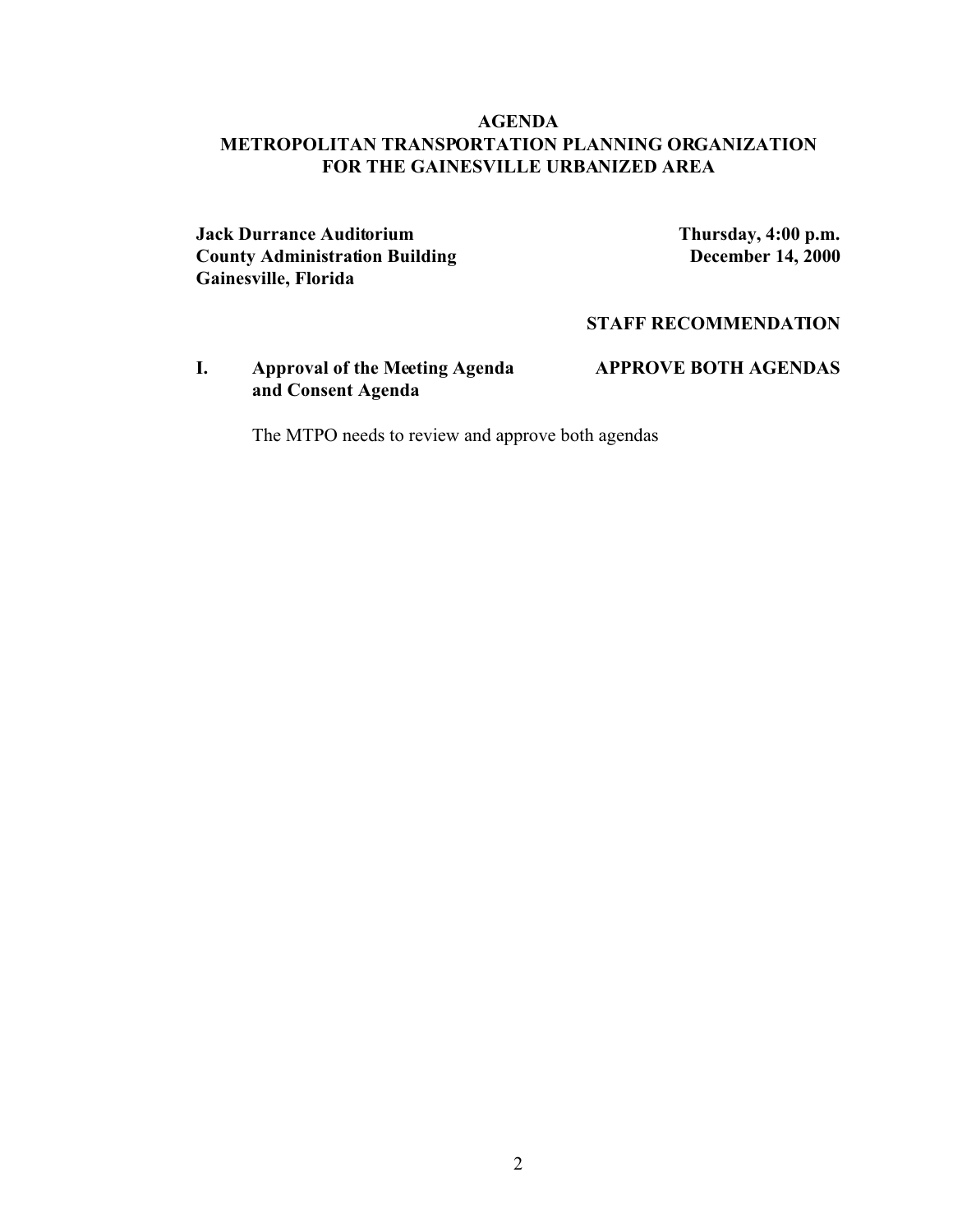## **AGENDA METROPOLITAN TRANSPORTATION PLANNING ORGANIZATION FOR THE GAINESVILLE URBANIZED AREA**

**Jack Durrance Auditorium Thursday, 4:00 p.m. County Administration Building <b>December 14, 2000 Gainesville, Florida**

#### **STAFF RECOMMENDATION**

**I. Approval of the Meeting Agenda APPROVE BOTH AGENDAS and Consent Agenda**

The MTPO needs to review and approve both agendas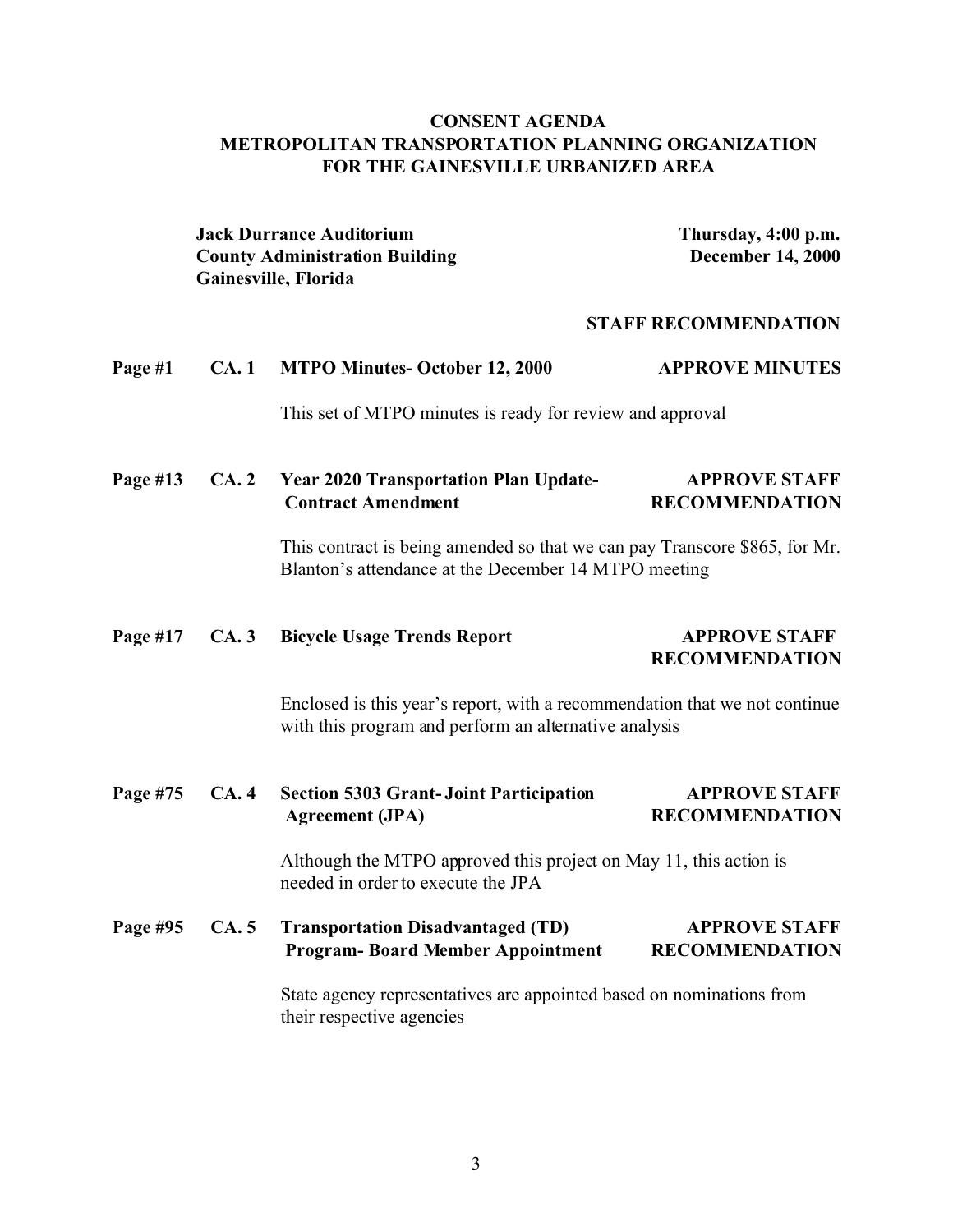# **CONSENT AGENDA METROPOLITAN TRANSPORTATION PLANNING ORGANIZATION FOR THE GAINESVILLE URBANIZED AREA**

|            |      | <b>Jack Durrance Auditorium</b><br><b>County Administration Building</b><br>Gainesville, Florida                                    | Thursday, 4:00 p.m.<br><b>December 14, 2000</b> |
|------------|------|-------------------------------------------------------------------------------------------------------------------------------------|-------------------------------------------------|
|            |      |                                                                                                                                     | <b>STAFF RECOMMENDATION</b>                     |
| Page #1    | CA.1 | <b>MTPO Minutes-October 12, 2000</b>                                                                                                | <b>APPROVE MINUTES</b>                          |
|            |      | This set of MTPO minutes is ready for review and approval                                                                           |                                                 |
| Page $#13$ | CA.2 | <b>Year 2020 Transportation Plan Update-</b><br><b>Contract Amendment</b>                                                           | <b>APPROVE STAFF</b><br><b>RECOMMENDATION</b>   |
|            |      | This contract is being amended so that we can pay Transcore \$865, for Mr.<br>Blanton's attendance at the December 14 MTPO meeting  |                                                 |
| Page #17   | CA.3 | <b>Bicycle Usage Trends Report</b>                                                                                                  | <b>APPROVE STAFF</b><br><b>RECOMMENDATION</b>   |
|            |      | Enclosed is this year's report, with a recommendation that we not continue<br>with this program and perform an alternative analysis |                                                 |
| Page #75   | CA.4 | <b>Section 5303 Grant-Joint Participation</b><br><b>Agreement</b> (JPA)                                                             | <b>APPROVE STAFF</b><br><b>RECOMMENDATION</b>   |
|            |      | Although the MTPO approved this project on May 11, this action is<br>needed in order to execute the JPA                             |                                                 |
| Page #95   | CA.5 | <b>Transportation Disadvantaged (TD)</b><br><b>Program-Board Member Appointment</b>                                                 | <b>APPROVE STAFF</b><br><b>RECOMMENDATION</b>   |
|            |      | State agency representatives are appointed based on nominations from<br>their respective agencies                                   |                                                 |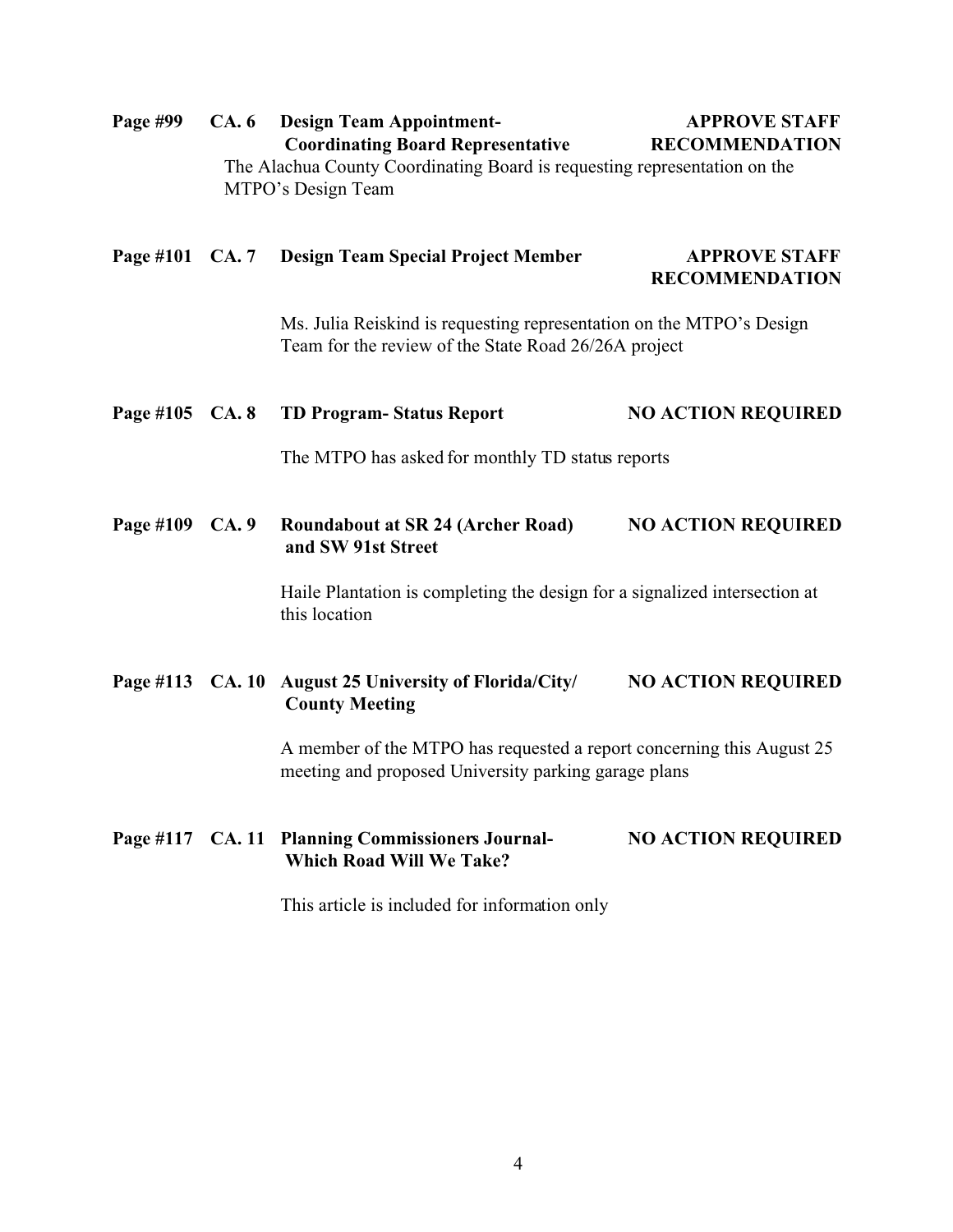| Page #99  | CA.6          | <b>Design Team Appointment-</b><br><b>Coordinating Board Representative</b><br>The Alachua County Coordinating Board is requesting representation on the<br>MTPO's Design Team | <b>APPROVE STAFF</b><br><b>RECOMMENDATION</b>                         |  |
|-----------|---------------|--------------------------------------------------------------------------------------------------------------------------------------------------------------------------------|-----------------------------------------------------------------------|--|
| Page #101 | <b>CA.</b> 7  | <b>Design Team Special Project Member</b>                                                                                                                                      | <b>APPROVE STAFF</b><br><b>RECOMMENDATION</b>                         |  |
|           |               | Ms. Julia Reiskind is requesting representation on the MTPO's Design<br>Team for the review of the State Road 26/26A project                                                   |                                                                       |  |
| Page #105 | <b>CA. 8</b>  | <b>TD Program-Status Report</b>                                                                                                                                                | <b>NO ACTION REQUIRED</b>                                             |  |
|           |               | The MTPO has asked for monthly TD status reports                                                                                                                               |                                                                       |  |
| Page #109 | CA.9          | <b>Roundabout at SR 24 (Archer Road)</b><br>and SW 91st Street                                                                                                                 | <b>NO ACTION REQUIRED</b>                                             |  |
|           |               | Haile Plantation is completing the design for a signalized intersection at<br>this location                                                                                    |                                                                       |  |
| Page #113 | <b>CA.</b> 10 | August 25 University of Florida/City/<br><b>County Meeting</b>                                                                                                                 | <b>NO ACTION REQUIRED</b>                                             |  |
|           |               | meeting and proposed University parking garage plans                                                                                                                           | A member of the MTPO has requested a report concerning this August 25 |  |
|           |               | Page #117 CA. 11 Planning Commissioners Journal-<br><b>Which Road Will We Take?</b>                                                                                            | <b>NO ACTION REQUIRED</b>                                             |  |
|           |               | This article is included for information only                                                                                                                                  |                                                                       |  |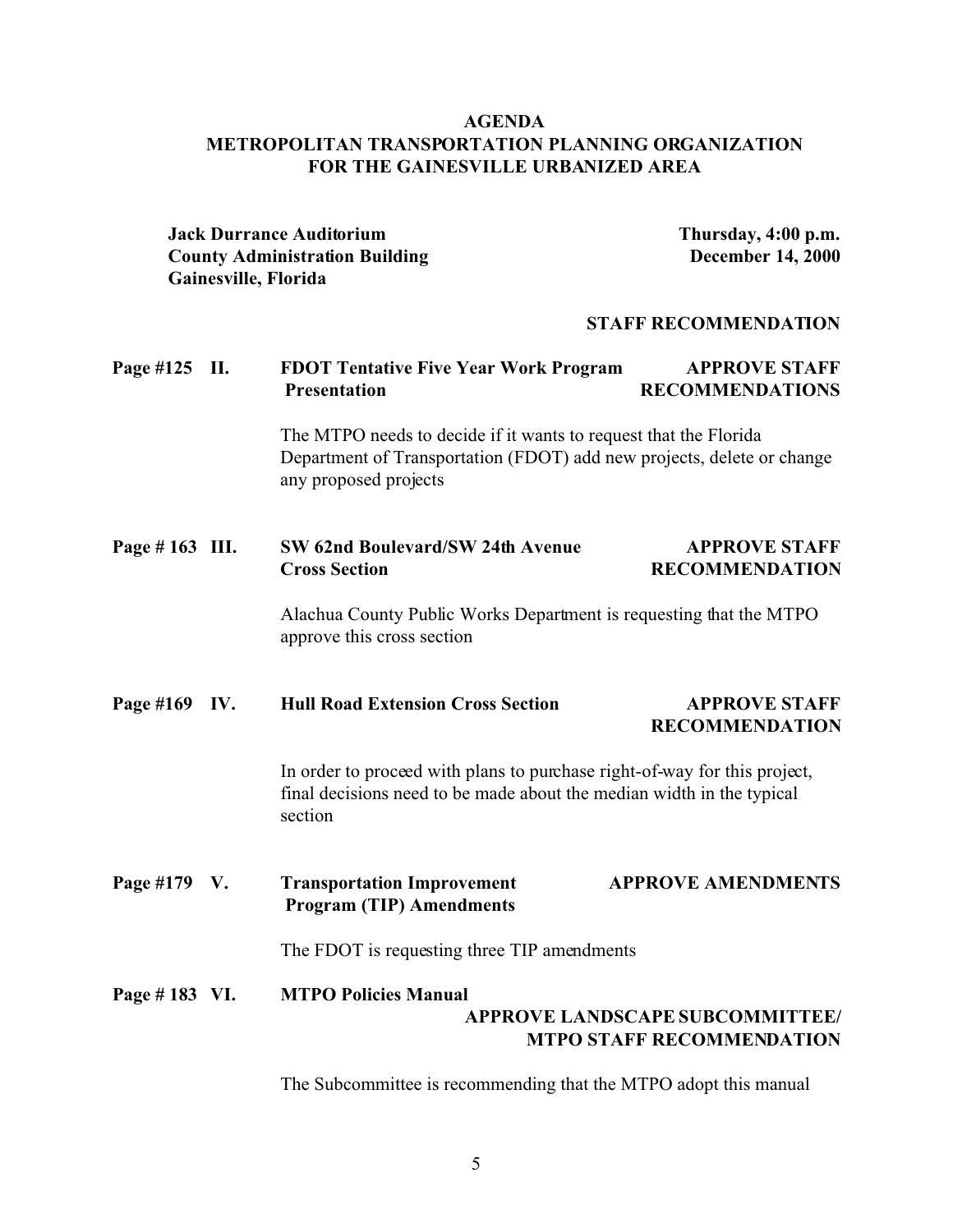## **AGENDA METROPOLITAN TRANSPORTATION PLANNING ORGANIZATION FOR THE GAINESVILLE URBANIZED AREA**

**Jack Durrance Auditorium Thursday, 4:00 p.m. County Administration Building <b>December 14, 2000 Gainesville, Florida STAFF RECOMMENDATION Page #125 II. FDOT Tentative Five Year Work Program APPROVE STAFF Presentation RECOMMENDATIONS** The MTPO needs to decide if it wants to request that the Florida Department of Transportation (FDOT) add new projects, delete or change any proposed projects **Page # 163 III. SW 62nd Boulevard/SW 24th Avenue APPROVE STAFF Cross Section RECOMMENDATION** Alachua County Public Works Department is requesting that the MTPO approve this cross section **Page #169 IV. Hull Road Extension Cross Section APPROVE STAFF RECOMMENDATION** In order to proceed with plans to purchase right-of-way for this project, final decisions need to be made about the median width in the typical section **Page #179 V. Transportation Improvement APPROVE AMENDMENTS Program (TIP) Amendments** The FDOT is requesting three TIP amendments **Page # 183 VI. MTPO Policies Manual APPROVE LANDSCAPE SUBCOMMITTEE/ MTPO STAFF RECOMMENDATION**

The Subcommittee is recommending that the MTPO adopt this manual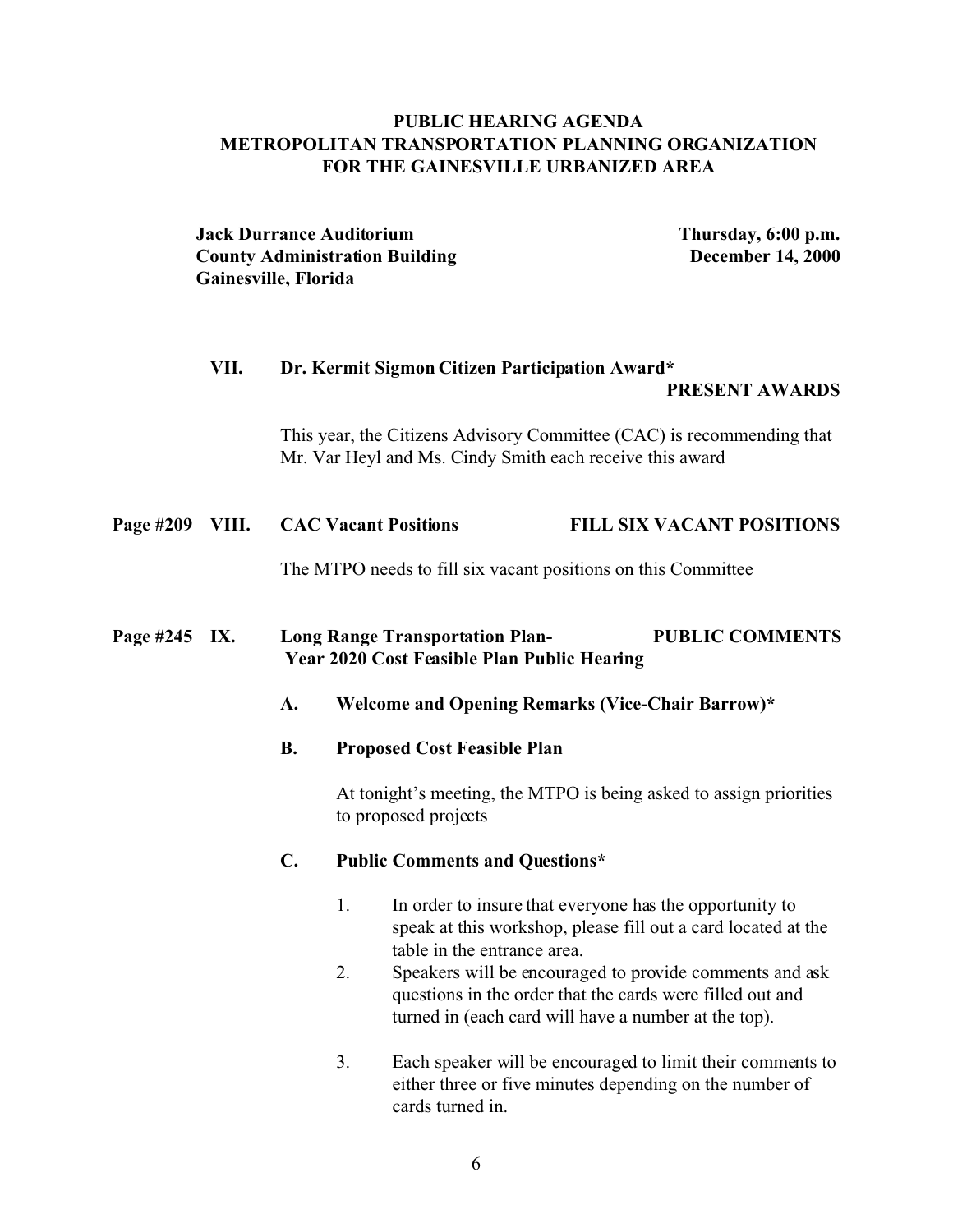## **PUBLIC HEARING AGENDA METROPOLITAN TRANSPORTATION PLANNING ORGANIZATION FOR THE GAINESVILLE URBANIZED AREA**

**Jack Durrance Auditorium Thursday, 6:00 p.m. County Administration Building <b>December 14, 2000 Gainesville, Florida**

# **VII. Dr. Kermit Sigmon Citizen Participation Award\* PRESENT AWARDS**

This year, the Citizens Advisory Committee (CAC) is recommending that Mr. Var Heyl and Ms. Cindy Smith each receive this award

#### **Page #209 VIII. CAC Vacant Positions FILL SIX VACANT POSITIONS**

The MTPO needs to fill six vacant positions on this Committee

## **Page #245 IX. Long Range Transportation Plan- PUBLIC COMMENTS Year 2020 Cost Feasible Plan Public Hearing**

- **A. Welcome and Opening Remarks (Vice-Chair Barrow)\***
- **B. Proposed Cost Feasible Plan**

At tonight's meeting, the MTPO is being asked to assign priorities to proposed projects

#### **C. Public Comments and Questions\***

- 1. In order to insure that everyone has the opportunity to speak at this workshop, please fill out a card located at the table in the entrance area.
- 2. Speakers will be encouraged to provide comments and ask questions in the order that the cards were filled out and turned in (each card will have a number at the top).
- 3. Each speaker will be encouraged to limit their comments to either three or five minutes depending on the number of cards turned in.